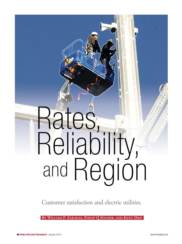# Rates, Reliability, and Region

Customer satisfaction and electric utilities.

**By William P. Zarakas, Philip Q Hanser, and Kent Diep**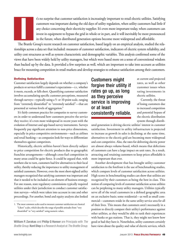

t's no surprise that customer satisfaction is increasingly important to retail electric utilities. Satisfying customers was important during the old days of utility regulation, when utility customers had little if any choice concerning their electricity supplier. It's even more important today, when customers can invest in equipment to bypass the grid in whole or in part, and it will inevitably be more pronounced in the future, when distributed generation options become more widespread and affordable. t's no surprise that customer satisfaction is increasingly important to retail electric utilities. Satisfying<br>customers was important during the old days of utility regulation, when utility customers had little if<br>any choi

tionships across a data set that included: measures of customer satisfaction, indicators of electric system reliability, and utility cost structures as well as system characteristic and demographic variables. This analysis confirmed some of the views that have been widely held by utility managers, but which were based more on a sense of conventional wisdom than backed up by the data. It provided a few surprises as well, which are important to take into account as utilities brace for mounting competition in retail markets and develop strategies to enhance satisfaction among their customers.

# Defining Satisfaction

Customer satisfaction largely depends on whether a company's products or services fulfill a customer's expectations—*i.e.,* whether it meets, exceeds, or falls short. Quantifying customer satisfaction involves accumulating specific customer perceptions, measured through surveys—typically using a 5- or 10-point scale, ranging from "extremely dissatisfied" to "extremely satisfied"—that are presented at various levels of aggregation.**<sup>1</sup>**

It's fairly common practice for companies to survey customers in order to understand how customers perceive the service they receive; it's even more widespread in recent years with the evolution of Internet and app-based survey instruments. Surveys frequently pay significant attention to non-price dimensions, especially in price-competitive environments—such as airlines and retail banking—as companies look for ways to differentiate themselves against competitors.

Historically, electric utilities haven't been directly subject to price competition for electric products due to geographic franchise arrangements—although cross-fuel competition in many areas could be quite fierce. It could be argued that, with nowhere else to turn, customers had few alternatives to their local utility, thereby reducing the importance to utility management of satisfied customers. However, even the most short-sighted utility managers recognized that satisfying customers was important and that it needed to be included as an element of business strategy. For one reason, state regulatory commissions typically required utilities under their jurisdiction to conduct customer satisfaction surveys—which were taken into account in rate and other proceedings. For another, bond and equity analysts also looked

Customers might forgive their utility if rates go up, as long as they perceive service is improving or at least consistently reliable.

at current and projected rates, as well as other customer issues when rating investments in electric utilities.

Currently, the threat of losing customers due to increased competition and potential bypass of the electric distribution system through distrib-

uted generation is driving electric utilities' interest in customer satisfaction. Investment in utility infrastructure is projected to increase as growth in sales is declining; at the same time, alternatives to the electric grid are becoming more widespread and cost competitive. Also, the rates for delivering electric power are almost always volume-based, which means that defections of customers can have a large impact on unit rates. As a result, attracting and retaining customers to keep prices affordable is more important than ever.

Another development that has brought utility customer satisfaction to the forefront is the use of benchmarking studies, which compare levels of customer satisfaction across utilities. High scores in benchmarking studies can show that utilities are recognized by their customers as being the best in class. This notion of comparing levels of customer satisfaction across utilities can be perplexing to many utility managers. Utilities typically serve all of the retail customers in a defined geographic area on an exclusive basis; some residential—as well as small commercial—customers reside in the same utility service area for all of their lives. This means that customers aren't necessarily in a position to directly compare their utility's performance against other utilities, as they would be able to rank their experiences with banks or gas stations. That is, they might not know how good or bad they have it. Nonetheless, utility customers certainly have views about the quality and value of electric services, which

<sup>1.</sup> The most common scales used to measure customer satisfaction are classical "Likert" scales, which describe the range of possible attitudes from "very dissatisfied" to "very satisfied" using numeric values.

**William P. Zarakas** and **Philip Q Hanser** are Principals with *The Brattle Group*. **Kent Diep** is a Research Analyst at *The Brattle Group*.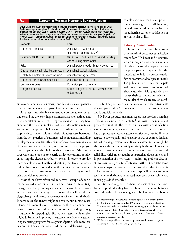### Fig. 1 Summary of Variables Included In Empirical Analysis

SAIDI, SAIFI, and CAIDI are widely used measures of electric distribution system reliability. SAIDI = System Average Interruption Duration Index, which measures the average number of minutes that interruptions last each year (or period of review). SAIFI = System Average Interruption Frequency Index and measures the average number of times customers are interrupted in a year (or period of review). CAIDI = Customer Average Interruption Duration Index which measures the average outage duration experienced by any affected customer. CAIDI = SAIDI /SAIFI.

| Variable                                  | Form                                                                       |  |
|-------------------------------------------|----------------------------------------------------------------------------|--|
| Customer satisfaction                     | Annual J.D. Power score<br>(residential customer survey)                   |  |
| Reliability (SAIDI, SAIFI, CAIDI)         | SAIDI, SAIFI, and CAIDI, measured including<br>and excluding major events. |  |
| Price                                     | Annual average residential revenue per kWh                                 |  |
| Capital investment in distribution system | Annual net capital additions                                               |  |
| Distribution system O&M expenditures      | Annual spending per kWh                                                    |  |
| Customer service O&M expenditures         | Annual spending per kWh                                                    |  |
| Service area density                      | Population per square mile                                                 |  |
| Geographic location                       | Utilities assigned to NE, SE, Midwest, NW,<br>or SW regions                |  |
|                                           |                                                                            |  |

are voiced, sometimes vociferously, and best-in-class comparisons have become an embedded part of grading companies.

As a result, utilities have expended considerable effort to understand the drivers of high customer satisfaction ratings, and have undertaken initiatives to improve their scores. They have enhanced their staffs, implemented new information systems, and retained experts to help them strengthen their relationships with customers. Many of their initiatives were borrowed from the best practices of customer-facing industries, including development of user-friendly web interfaces, investment in state of the art customer care centers, and training to make employees more empathetic to the plights of their customers. Other initiatives were more specific to electric utility operations, notably enhancing the electric distribution system in order to provide more reliable service. Finally, and certainly not least, numerous utilities have focused on reducing their cost structures in order to demonstrate to customers that they are delivering as much value per dollar as possible.

Most of the above referenced initiatives—except, of course, for the cost-reduction initiatives—can be expensive. Thus, utility managers and budgeters frequently seek to trade-off between costs and benefits; that is, to target the initiative that will provide the biggest bang—or increase in customer satisfaction—for the buck. In some cases, the answer might be obvious, but in most cases, it tends to be more elusive. This is because there are a number of factors at work. One utility might improve its standing among its customers by upgrading its distribution system, while another might do better by improving its customer interfaces or customizing marketing programs for a segment of particularly concerned customers. The conventional wisdom—*i.e.,* delivering highly

reliable electric service at a low price might provide good overall direction, but it doesn't provide an actionable plan for addressing customer satisfaction at any particular utility.

# Industry Benchmarks

Perhaps the most widely-known benchmark of customer satisfaction comes from J.D. Power and Associates, which surveys customers in a variety of industries and develops scores for the participating companies. For the electric utility industry, customer satisfaction scores were developed for nearly 125 public utilities—*i.e.,* municipals and cooperatives—and investor owned electric utilities.**<sup>2</sup>** Many utilities also survey their customers on their own, the results of which are treated confi-

dentially. The J.D. Power survey is one of the only instruments that compares utilities' customer satisfaction on a consistent basis and is publicly available.

J.D. Power produces an annual report that provides a ranking of the utilities included in the study,**<sup>3</sup>** summarizes the results, and provides insight into the trends in utility customer satisfaction scores. For example, a series of storms in 2011 appears to have had a significant effect on customer satisfaction, specifically with respect to power quality and reliability as well as communications related to outage restorations. In some cases, utilities might be able to act almost immediately on study findings. However, in many cases—such as improving levels of power quality and reliability, which might require construction, development, and implementation of new systems—addressing problem circumstances can take years to effectuate. Further, it can take some time—perhaps years—for customers to fully realize the effects of hard or soft system enhancements, especially since customers tend to notice the bumps in the road more than when their service is being provided smoothly.

Utilities have long puzzled about the levers of customer satisfaction. Specifically, they face the classic balancing act between cost and quality. They can engineer a bullet-proof distribution

<sup>2.</sup> The most recent J.D. Power survey included a panel of 124 electric utilities, 85 of which were investor-owned and 39 were non-investor-owned utilities. The panel was smaller in 2006 and 2007, with roughly 80 public and investor owned electric utilities. Residential customer satisfaction is developed on a 1,000-point scale. In 2012, the average score among the electric utilities included in the study was 625.

<sup>3.</sup> J.D. Power also provides awards to the top performers in several categories, including those based on size and geographic region.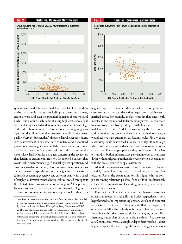

Retail rate (\$/MWh) vs. J.D. Power residential customer satisfaction score.\$250 \$250 \$200 \$200 Retail Retain **#/MWh** Retail Rate \$/MWh Retail Rate \$/MWh \$150 \$150 \$100 \$100 \$50 \$50 \$0 \$0 500 550 600 650 700 750 800 500 550 600 650 700 750 800 J.D. Power Residential Customer Satisfaction Score

system that would deliver very high levels of reliability regardless of the many perils it faces—including ice storms, hurricanes, errant drivers, and even the potential damages of squirrels and birds—but it would likely come at a very high cost, especially if such hardening included undergrounding a significant percentage of their distribution systems. Thus, utilities have long sought an algorithm that illuminates the customer trade-off of price versus quality of service. Further, they're interested in whether other levers, such as investment in customer service systems and customized product offerings, might better fulfill their customers' expectations.

The Brattle Group's analysis seeks to confirm or refute the views widely held by utility managers concerning the key factors that determine customer satisfaction. It compiled a data set that covers utility performance (*e.g.,* financial, system operations and customer satisfaction scores), levels of investment, operations and maintenance expenditures, and demographic characteristics (primarily concerning geography and customer density) for a panel of roughly 30 investor-owned electric utilities located throughout the United States, covering a period of six years.**<sup>4</sup>** The primary factors considered in the analysis are summarized in Figure 1.

Based on common utility wisdom, a quick look at these data

might be expected to show directly observable relationships between customer satisfaction and the various explanatory variables summarized above. For example, an electric utility that consistently invested in and maintained its distribution systems—as evidenced by above average levels of spending—might be expected to realize high levels of reliability. And if that same utility also had invested and maintained customer service systems and had low rates, it would achieve high customer satisfaction results. Finally, those relationships could be stretched into a matrix or algorithm, through which utility managers could manage their way to strong customer satisfaction. For example, perhaps they could spend a little less on, say, distribution infrastructure per year, in order to keep rates down without triggering noticeable levels of system degradation, with the overall result of happier customers.

All of this seems to make sense. However, as shown in Figures 1 and 2, scatter plots of any two variables don't present any clear pictures. Part of the explanation for this might lie in the complexity among relationships. Few if any utilities simultaneously achieve the combinations of spending, reliability, and rates to clearly make the case.

Figures 2 and 3 depict the relationships between customer satisfaction scores with reliability and price, respectively—both hypothesized to be important explanatory variables of customer satisfaction. These scatter plots indicate that the majority of observations fall within a fairly tight range. However, fitting a trend line within the scatter would be challenging at best. Furthermore, scatter plots of two variables at a time—*i.e.,* customer satisfaction scores versus a single independent variable—don't begin to explain the relative significance of a single explanatory

<sup>4.</sup> In addition to the customer satisfaction scores from J.D. Power, data included in this analysis come from several sources, primarily Form 1 reports filed by electric utilities to the Federal Energy Regulatory Commission (FERC) and from reliability reports made public by state regulatory commissions or from electric utilities themselves. Not all utilities have publicly available information concerning customer satisfaction scores or consistent reliability indicators. Thus, the size of the data set is limited by the public availability of consistent data.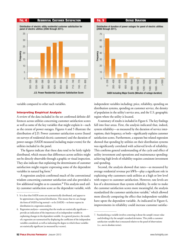



variable compared to other such variables.

# Interpreting Empirical Analysis

A review of the data included in the set confirmed definite differences across utilities concerning customer satisfaction scores as well as some of the key variables that might explain it—such as the extent of power outages. Figures 4 and 5 illustrate the distribution of J.D. Power customer satisfaction scores (based on surveys of residential electric customers) and the duration of power outages (SAIDI measured including major events) for the utilities included in the panel.

The figures indicate that these data tend to be fairly tightly distributed, which means that differences across utilities might not be directly observable through a graphic or visual inspection. They also indicate that explaining the determinants of customer satisfaction might require expressing some of the dependent variables in natural log form.**<sup>5</sup>**

A regression analysis confirmed much of the conventional wisdom concerning customer satisfaction and also provided a few additional insights as to causation.**6** This analysis used utility customer satisfaction score as the dependent variable, with independent variables including: price, reliability, spending on distribution systems, spending on customer service, the density of population in the utility's service area, and the U.S. geographic region where the utility is located.

A summary of results is included in Figure 6. The key findings fall into four areas. First, the analysis indicated that, indeed, system reliability—as measured by the duration of service interruptions, their frequency, or both—significantly explains customer satisfaction scores. Furthermore, a separate but related regression showed that spending by utilities on their distribution systems was significantly correlated with achieved levels of reliability. This confirms general understanding of the cycle and effect of utility investment and operations and maintenance spending: achieving high levels of reliability requires consistent investment and spending.

Second, the analysis showed that rates—as measured by average residential revenue per kWh—play a significant role in explaining why customers rank utilities at a high or low level with respect to customer satisfaction. However, rate levels are less of a determinant than system reliability. In order to make the customer satisfaction scores more meaningful, the analysis standardized the customer satisfaction variable,**<sup>7</sup>** which allowed more directly comparing the effect that independent variables have upon the dependent variable. As indicated in Figure 6, improvements in reliability could increase customer satisfac-

<sup>5.</sup> It is clear that SAIDI scores are asymmetrically distributed, and appear to be approximate a log normal distribution. This means that we can change the form of SAIDI to log normal—or ln (SAIDI)—to better express its distribution in a regression analysis.

<sup>6.</sup> Regression analyses—assuming that the results are statistically significant provide an indication of the importance of an independent variable in explaining changes in the dependent variable. As a general practice, the results of a regression are summarized by displaying the coefficient of the independent variables considered, as well as indicating the degree to which those variables are statistically significant (as measured by t-scores).

<sup>7.</sup> Standardizing a variable involves centering it about the sample's mean value and dividing it by the sample's standard deviation. This yields a customer satisfaction variable that is measured relative to the panel of observations (*i.e.*, not in absolute terms).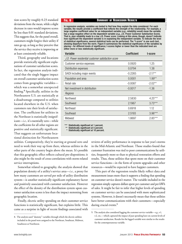tion scores by roughly 0.23 standard deviations from the mean, while a slight decrease in rates would improve scores by less than 0.01 standard deviations. This suggests that, for the panel overall, customers might forgive their utility if rates go up, as long as they perceive that the service they receive is improving or at least consistently reliable.

Third, geography and locations provide statistically significant explanations of customer satisfaction scores. In fact, the regression analysis indicated that the single biggest impact on overall customer satisfaction scores comes from geographic variables which was a somewhat unexpected finding.**<sup>8</sup>** Specifically, utilities in the Northeastern U.S. are statistically at a disadvantage compared to utilities located elsewhere in the U.S. when customers rate their levels of satisfaction. The coefficient for utilities in the Northeast is statistically insignificant—*i.e.,* it's essentially zero—while the coefficients for all other regions are positive and statistically significant. That suggests an unfortunate locational distinction for Northeastern

# Fig. 6 Summary of Regression Result

In regression analysis, variables are tested to find how they explain the data considered. For each variable, the results provide a coefficient that reflects the strength of the relationship. For example, a large negative coefficient value for an independent variable (*e.g.*, reliability) would mean the variable has a large negative effect on the dependent variable (*e.g.*, J.D. Power Customer Satisfaction Score). That is, poor reliability leads to a low J.D. Power score. Looking at this alone, though, doesn't indicate how significant the dependent variable is in explaining the independent variable. To indicate the level of statistical significance, several statistical tests can be performed. The "t-score" is one such test, showing departure from the norm. Figure 6 summarizes the statistical significance of the variables by placing \* for different levels of significance; t-scores higher or lower than the indicated level are either more or less statistically significant.

Source: The Brattle Group

| Variable                                           | <b>Coefficient</b> | t-score   |
|----------------------------------------------------|--------------------|-----------|
| J.D. Power residential customer satisfaction score |                    |           |
| Customer service expenses                          | 0.0920             | 1.25      |
| Distribution expenses                              | 0.0794             | 1.38      |
| SAIDI including major events                       | $-0.2265$          | $-2.17**$ |
| Population and area                                | 0.0001             | $1.99**$  |
| Retail rate                                        | $-0.0087$          | $-2.02**$ |
| Net investment in distribution                     | $-0.0017$          | $-1.36$   |
| Regions                                            |                    |           |
| <b>Northwest</b>                                   | 2.5830             | $4.25***$ |
| Southwest                                          | 2.1967             | $3.73***$ |
| Northeast                                          | 0.6918             | 1.12      |
| Southeast                                          | 2.5193             | $3.96***$ |
| Midwest                                            | 1.8697             | $2.85***$ |

Statistically significant at 1 percent.

\*\* Statistically significant at 5 percent.

\* Statistically significant at 10 percent.

utilities. Comparatively, they're starting at ground zero and need to work their way up from there, whereas utilities in the other parts of the country begin above the mean. It's possible that this geographic effect reflects cultural pre-dispositions; it also might be the result of cross-correlations with storm-related service interruptions.

Somewhat related to geography, the analysis showed that population density of a utility's service area—*i.e.,* a proxy for how many customers are served per mile of utility distribution system—is another statistically significant explanatory factor and positively associated with customer satisfaction. However the effect of the density of the distribution system upon customer satisfaction scores is less than the impact stemming from geographic location.

Finally, electric utility spending on their customer service functions is statistically significant, but explains little. This came as a surprise in light of recent findings associated with

reviews of utility performance in response to last year's storms in the Mid-Atlantic and Northeast. Those studies found that customer frustration was tied to poor communications by utilities, frequently more so than to physical restoration efforts and results. Thus, those utilities that spent more on their customer service functions—in the form of system upgrades and other resources—would be expected to have happier customers.

This part of the regression results likely reflect data and measurement issues more than it supports a finding that spending on customer service doesn't matter. The variable included in the regression simply captures dollars spent per customer and per kWh of sales. It might be fair to infer that higher levels of spending on customer service can be associated with more sophisticated systems. However, it doesn't necessarily mean that those utilities have better communications with their customers—especially during crucial events.**<sup>9</sup>**

<sup>8.</sup> The analysis used "dummy" variables through which the electric utilities included in the panel were assigned to the Northeast, Southeast, Midwest, Southwest or Northwest.

<sup>9.</sup> The analysis also considered lagging the customer service variable—*e.g.*, t-1, t-2, etc.—which captured the impact of past spending have on current levels of customer satisfaction. Results for the lagged variable were similar to the results for the contemporaneous variable.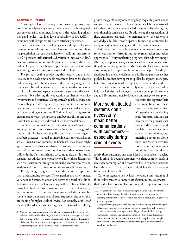# Analysis in Practice

At its highest level, this analysis confirms the primary suppositions underlying why some utilities succeed in achieving high customer satisfaction ratings. It supports the logical hypothesis that good service—*i.e.,* high levels of reliability, or low SAIDI combined with low prices are key to satisfying customers.

Clearly there's merit in developing empirical support for what common sense tells us must be so. However, the finding above is a prescription that can be applied to virtually any business; by itself, it provides little actionable direction to improve a utility's customer satisfaction rating. In practice, recommending that utilities keep service levels up and prices down is about as useful as advising a stock broker to buy low and sell high.

The primary goal in conducting this research and analysis is to use it to develop actionable recommendations for electric utility managers.**<sup>10</sup>** The analysis provides three key insights that can be used by utilities to improve customer satisfaction scores.

First, all customers expect reliable electric service at the lowest prices possible. Meeting this expectation requires system-wide investments and initiatives. Comparatively reliable service and reasonably priced delivery services, then, become the common denominators that electric utilities must provide in order to satisfy customers and regulators overall. This will satisfy a segment of customers; however, going above and beyond this foundation level of service must be addressed on an incremental basis.

Second, location matters. This means that customer needs and expectations vary across geographies, even among utilities with similar levels of reliability and rates. It also suggests that best practices—aimed at improving customer satisfaction scores—aren't always portable. On first blush, the analysis might appear to indicate that some drivers of customer satisfaction are beyond the control of the utility. However, that doesn't mean utilities in the Northeast should succumb to despair. Instead, it suggests that utilities have to proactively address these disconnects with their customers through additional customer research and analysis and more effective communications and interactions.

Third, recognizing variances might be more important than understanding averages. The regression analysis estimated variances and standard deviations across the panel of utilities. Likewise, customer preferences vary within utilities. While it's possible to find the mix of cost and service that will generally satisfy customers at a common denominator level, there's probably room to meet the expectations of a sub-segment of customers that are looking for higher levels of service. For example, a sub-set of the overall residential customer segment is interested in realizing

greater energy efficiency or receiving higher quality power, and is willing to pay extra for it.**<sup>11</sup>** These customers will be more satisfied with their utility because it enabled them to realize their goals, even though it came at a cost. By addressing the expectations of these customers separately—or incrementally—the utility also can dodge a bullet; it won't upset its foundation customers by applying a system-wide upgrade, thereby increasing rates.

Utilities can realize such incremental improvements in customer satisfaction through market segmentation and other approaches. Utility marketing programs that address energy efficiency and power quality are considered to be successes because they show the utility understands the needs of a segment of its customers, and it applies tools necessary to help.**<sup>12</sup>** Plus they're developed in an iterative fashion; that is, the programs are neither pushed by product developers nor pulled by segment managers, but instead are developed in response to customer demand.

Customer segmentation is hardly new to the electric utility industry. Utilities track a range of data in order to provide service and to bill customers, notably locations and energy consumption.

# More sophisticated systems don't necessarily mean better communications with customers especially during crucial events.

Most utilities segment their customers based on these two criteria, in part because it's useful when developing load forecasts, and in part because it's the primary data that's readily collected and available. From a customer satisfaction standpoint, segmenting customers along these lines doesn't necessarily assist the utility in gaining insight into what it takes to

satisfy those customers, nor does it lead to actionable strategies. This is primarily because customers who share common levels of electricity consumption and those who live in common locations have other characteristics that more fully define their expectations from their electric utility.

Customer segmentation by itself, however, is only meaningful if the utility can act to improve satisfaction in those segments that is, if it has tools in place, or under development, to reach

<sup>10.</sup> More so than incorporating our research into the academic literature. In order to be seriously considered among academic economists, the analysis will need to be fortified further—requiring elaboration upon the statistical dimensions of the analysis to better estimate the regression coefficients, the extent of their explanatory power, and the covariance across independent variables.

<sup>11.</sup> More accurately, these customers are willing to make an initial investment either directly or through their electric utility—with the expectation of realizing benefits in the form of lower overall costs in the future or higher levels of power quality.

<sup>12.</sup>Energy efficiency programs involve saving customers money by improving the efficiency of electricity consumption, ranging from caulking leaky windows in older homes to the mass replacement of light bulbs with LEDs in large warehouses. Programs that address power quality and voltage fluctuations also require an investment, frequently in an uninterruptible power supply that automatically switches the customer off the grid if it detects a transient condition on the line.